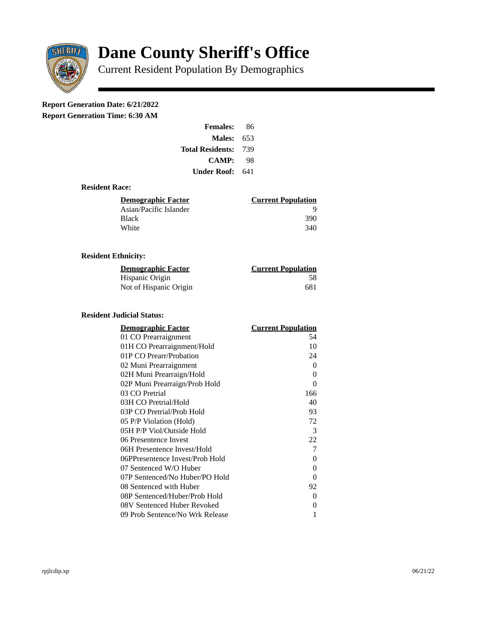

# **Dane County Sheriff's Office**

Current Resident Population By Demographics

# **Report Generation Date: 6/21/2022**

**Report Generation Time: 6:30 AM** 

| <b>Females:</b>         | 86   |
|-------------------------|------|
| Males:                  | 653  |
| <b>Total Residents:</b> | -739 |
| CAMP:                   | 98   |
| Under Roof:             | 641  |

## **Resident Race:**

| <b>Current Population</b> |
|---------------------------|
|                           |
| 390                       |
| 340                       |
|                           |

## **Resident Ethnicity:**

| <u>Demographic Factor</u> | <b>Current Population</b> |
|---------------------------|---------------------------|
| Hispanic Origin           | 58                        |
| Not of Hispanic Origin    | 681                       |

# **Resident Judicial Status:**

| <b>Demographic Factor</b>       | <u> Current Population</u> |
|---------------------------------|----------------------------|
| 01 CO Prearraignment            | 54                         |
| 01H CO Prearraignment/Hold      | 10                         |
| 01P CO Prearr/Probation         | 24                         |
| 02 Muni Prearraignment          | 0                          |
| 02H Muni Prearraign/Hold        | 0                          |
| 02P Muni Prearraign/Prob Hold   | 0                          |
| 03 CO Pretrial                  | 166                        |
| 03H CO Pretrial/Hold            | 40                         |
| 03P CO Pretrial/Prob Hold       | 93                         |
| 05 P/P Violation (Hold)         | 72                         |
| 05H P/P Viol/Outside Hold       | 3                          |
| 06 Presentence Invest           | 22                         |
| 06H Presentence Invest/Hold     | 7                          |
| 06PPresentence Invest/Prob Hold | 0                          |
| 07 Sentenced W/O Huber          | 0                          |
| 07P Sentenced/No Huber/PO Hold  | 0                          |
| 08 Sentenced with Huber         | 92                         |
| 08P Sentenced/Huber/Prob Hold   | 0                          |
| 08V Sentenced Huber Revoked     | 0                          |
| 09 Prob Sentence/No Wrk Release | 1                          |